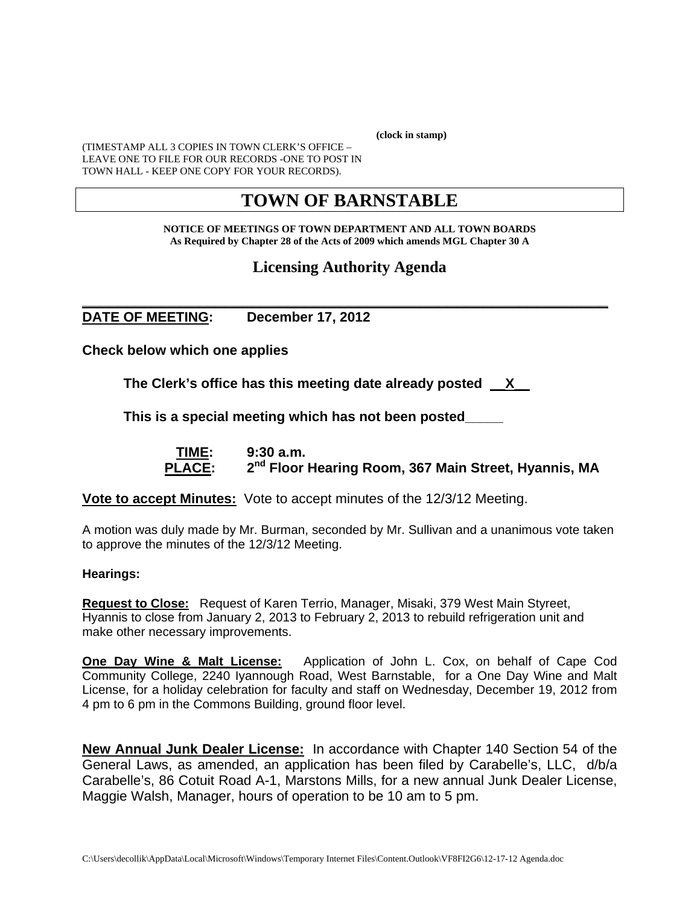**(clock in stamp)** 

(TIMESTAMP ALL 3 COPIES IN TOWN CLERK'S OFFICE – LEAVE ONE TO FILE FOR OUR RECORDS -ONE TO POST IN TOWN HALL - KEEP ONE COPY FOR YOUR RECORDS).

# **TOWN OF BARNSTABLE**

**NOTICE OF MEETINGS OF TOWN DEPARTMENT AND ALL TOWN BOARDS As Required by Chapter 28 of the Acts of 2009 which amends MGL Chapter 30 A** 

## **Licensing Authority Agenda**

#### **\_\_\_\_\_\_\_\_\_\_\_\_\_\_\_\_\_\_\_\_\_\_\_\_\_\_\_\_\_\_\_\_\_\_\_\_\_\_\_\_\_\_\_\_\_\_\_\_\_\_\_\_\_\_\_\_\_\_\_ DATE OF MEETING: December 17, 2012**

**Check below which one applies** 

**The Clerk's office has this meeting date already posted \_\_X\_\_** 

 **This is a special meeting which has not been posted\_\_\_\_\_** 

 **TIME: 9:30 a.m.**  PLACE: 2<sup>nd</sup> Floor Hearing Room, 367 Main Street, Hyannis, MA

**Vote to accept Minutes:** Vote to accept minutes of the 12/3/12 Meeting.

A motion was duly made by Mr. Burman, seconded by Mr. Sullivan and a unanimous vote taken to approve the minutes of the 12/3/12 Meeting.

#### **Hearings:**

**Request to Close:** Request of Karen Terrio, Manager, Misaki, 379 West Main Styreet, Hyannis to close from January 2, 2013 to February 2, 2013 to rebuild refrigeration unit and make other necessary improvements.

**One Day Wine & Malt License:** Application of John L. Cox, on behalf of Cape Cod Community College, 2240 Iyannough Road, West Barnstable, for a One Day Wine and Malt License, for a holiday celebration for faculty and staff on Wednesday, December 19, 2012 from 4 pm to 6 pm in the Commons Building, ground floor level.

**New Annual Junk Dealer License:** In accordance with Chapter 140 Section 54 of the General Laws, as amended, an application has been filed by Carabelle's, LLC, d/b/a Carabelle's, 86 Cotuit Road A-1, Marstons Mills, for a new annual Junk Dealer License, Maggie Walsh, Manager, hours of operation to be 10 am to 5 pm.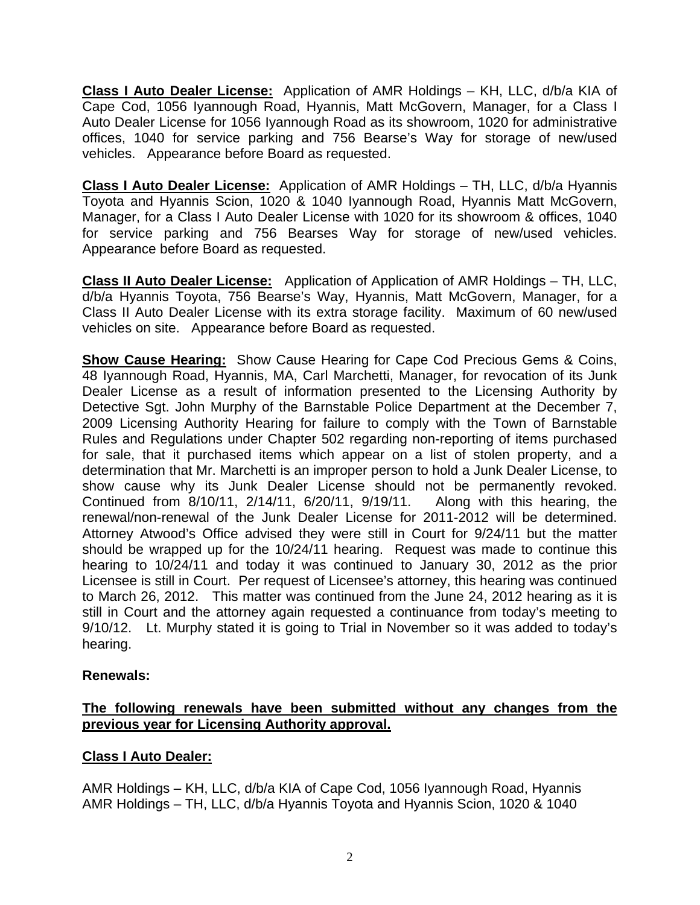**Class I Auto Dealer License:** Application of AMR Holdings – KH, LLC, d/b/a KIA of Cape Cod, 1056 Iyannough Road, Hyannis, Matt McGovern, Manager, for a Class I Auto Dealer License for 1056 Iyannough Road as its showroom, 1020 for administrative offices, 1040 for service parking and 756 Bearse's Way for storage of new/used vehicles. Appearance before Board as requested.

**Class I Auto Dealer License:** Application of AMR Holdings – TH, LLC, d/b/a Hyannis Toyota and Hyannis Scion, 1020 & 1040 Iyannough Road, Hyannis Matt McGovern, Manager, for a Class I Auto Dealer License with 1020 for its showroom & offices, 1040 for service parking and 756 Bearses Way for storage of new/used vehicles. Appearance before Board as requested.

**Class II Auto Dealer License:** Application of Application of AMR Holdings – TH, LLC, d/b/a Hyannis Toyota, 756 Bearse's Way, Hyannis, Matt McGovern, Manager, for a Class II Auto Dealer License with its extra storage facility. Maximum of 60 new/used vehicles on site. Appearance before Board as requested.

**Show Cause Hearing:** Show Cause Hearing for Cape Cod Precious Gems & Coins, 48 Iyannough Road, Hyannis, MA, Carl Marchetti, Manager, for revocation of its Junk Dealer License as a result of information presented to the Licensing Authority by Detective Sgt. John Murphy of the Barnstable Police Department at the December 7, 2009 Licensing Authority Hearing for failure to comply with the Town of Barnstable Rules and Regulations under Chapter 502 regarding non-reporting of items purchased for sale, that it purchased items which appear on a list of stolen property, and a determination that Mr. Marchetti is an improper person to hold a Junk Dealer License, to show cause why its Junk Dealer License should not be permanently revoked. Continued from 8/10/11, 2/14/11, 6/20/11, 9/19/11. Along with this hearing, the renewal/non-renewal of the Junk Dealer License for 2011-2012 will be determined. Attorney Atwood's Office advised they were still in Court for 9/24/11 but the matter should be wrapped up for the 10/24/11 hearing. Request was made to continue this hearing to 10/24/11 and today it was continued to January 30, 2012 as the prior Licensee is still in Court. Per request of Licensee's attorney, this hearing was continued to March 26, 2012. This matter was continued from the June 24, 2012 hearing as it is still in Court and the attorney again requested a continuance from today's meeting to 9/10/12. Lt. Murphy stated it is going to Trial in November so it was added to today's hearing.

### **Renewals:**

#### **The following renewals have been submitted without any changes from the previous year for Licensing Authority approval.**

### **Class I Auto Dealer:**

AMR Holdings – KH, LLC, d/b/a KIA of Cape Cod, 1056 Iyannough Road, Hyannis AMR Holdings – TH, LLC, d/b/a Hyannis Toyota and Hyannis Scion, 1020 & 1040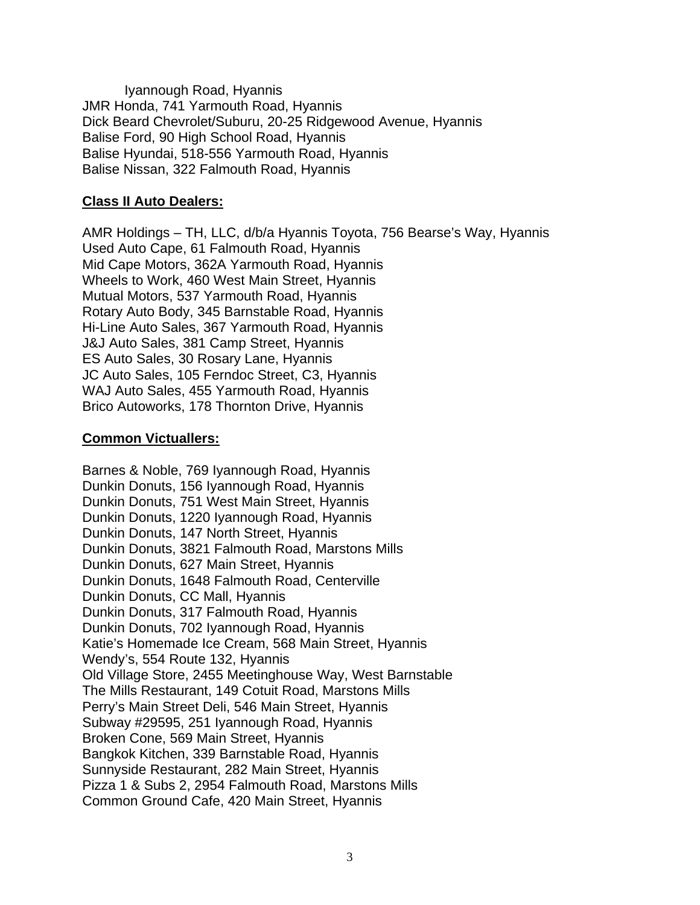Iyannough Road, Hyannis JMR Honda, 741 Yarmouth Road, Hyannis Dick Beard Chevrolet/Suburu, 20-25 Ridgewood Avenue, Hyannis Balise Ford, 90 High School Road, Hyannis Balise Hyundai, 518-556 Yarmouth Road, Hyannis Balise Nissan, 322 Falmouth Road, Hyannis

#### **Class II Auto Dealers:**

AMR Holdings – TH, LLC, d/b/a Hyannis Toyota, 756 Bearse's Way, Hyannis Used Auto Cape, 61 Falmouth Road, Hyannis Mid Cape Motors, 362A Yarmouth Road, Hyannis Wheels to Work, 460 West Main Street, Hyannis Mutual Motors, 537 Yarmouth Road, Hyannis Rotary Auto Body, 345 Barnstable Road, Hyannis Hi-Line Auto Sales, 367 Yarmouth Road, Hyannis J&J Auto Sales, 381 Camp Street, Hyannis ES Auto Sales, 30 Rosary Lane, Hyannis JC Auto Sales, 105 Ferndoc Street, C3, Hyannis WAJ Auto Sales, 455 Yarmouth Road, Hyannis Brico Autoworks, 178 Thornton Drive, Hyannis

#### **Common Victuallers:**

Barnes & Noble, 769 Iyannough Road, Hyannis Dunkin Donuts, 156 Iyannough Road, Hyannis Dunkin Donuts, 751 West Main Street, Hyannis Dunkin Donuts, 1220 Iyannough Road, Hyannis Dunkin Donuts, 147 North Street, Hyannis Dunkin Donuts, 3821 Falmouth Road, Marstons Mills Dunkin Donuts, 627 Main Street, Hyannis Dunkin Donuts, 1648 Falmouth Road, Centerville Dunkin Donuts, CC Mall, Hyannis Dunkin Donuts, 317 Falmouth Road, Hyannis Dunkin Donuts, 702 Iyannough Road, Hyannis Katie's Homemade Ice Cream, 568 Main Street, Hyannis Wendy's, 554 Route 132, Hyannis Old Village Store, 2455 Meetinghouse Way, West Barnstable The Mills Restaurant, 149 Cotuit Road, Marstons Mills Perry's Main Street Deli, 546 Main Street, Hyannis Subway #29595, 251 Iyannough Road, Hyannis Broken Cone, 569 Main Street, Hyannis Bangkok Kitchen, 339 Barnstable Road, Hyannis Sunnyside Restaurant, 282 Main Street, Hyannis Pizza 1 & Subs 2, 2954 Falmouth Road, Marstons Mills Common Ground Cafe, 420 Main Street, Hyannis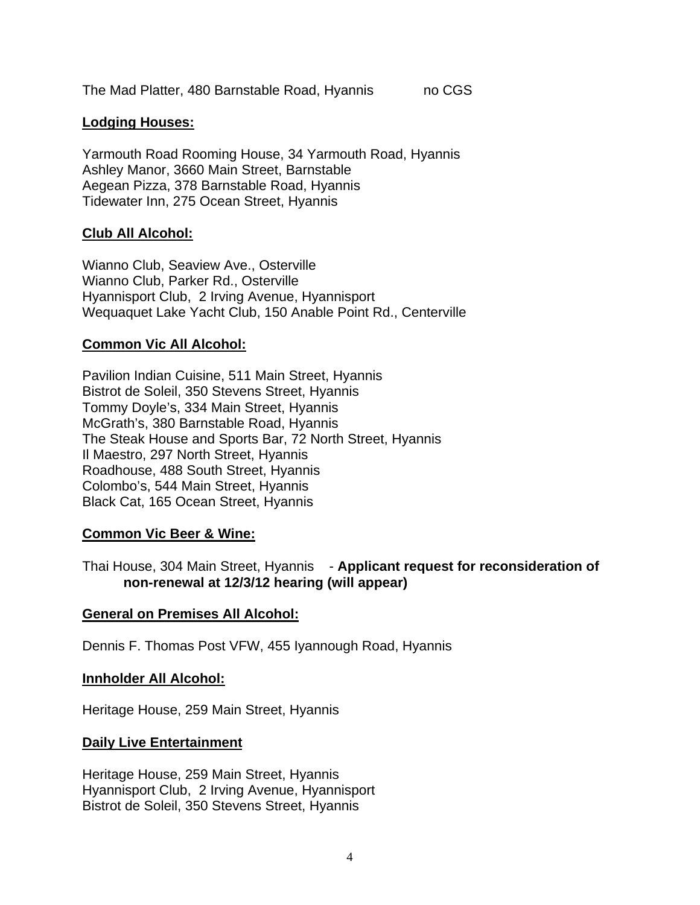The Mad Platter, 480 Barnstable Road, Hyannis no CGS

#### **Lodging Houses:**

Yarmouth Road Rooming House, 34 Yarmouth Road, Hyannis Ashley Manor, 3660 Main Street, Barnstable Aegean Pizza, 378 Barnstable Road, Hyannis Tidewater Inn, 275 Ocean Street, Hyannis

#### **Club All Alcohol:**

Wianno Club, Seaview Ave., Osterville Wianno Club, Parker Rd., Osterville Hyannisport Club, 2 Irving Avenue, Hyannisport Wequaquet Lake Yacht Club, 150 Anable Point Rd., Centerville

#### **Common Vic All Alcohol:**

Pavilion Indian Cuisine, 511 Main Street, Hyannis Bistrot de Soleil, 350 Stevens Street, Hyannis Tommy Doyle's, 334 Main Street, Hyannis McGrath's, 380 Barnstable Road, Hyannis The Steak House and Sports Bar, 72 North Street, Hyannis Il Maestro, 297 North Street, Hyannis Roadhouse, 488 South Street, Hyannis Colombo's, 544 Main Street, Hyannis Black Cat, 165 Ocean Street, Hyannis

#### **Common Vic Beer & Wine:**

Thai House, 304 Main Street, Hyannis - **Applicant request for reconsideration of non-renewal at 12/3/12 hearing (will appear)** 

#### **General on Premises All Alcohol:**

Dennis F. Thomas Post VFW, 455 Iyannough Road, Hyannis

#### **Innholder All Alcohol:**

Heritage House, 259 Main Street, Hyannis

#### **Daily Live Entertainment**

Heritage House, 259 Main Street, Hyannis Hyannisport Club, 2 Irving Avenue, Hyannisport Bistrot de Soleil, 350 Stevens Street, Hyannis